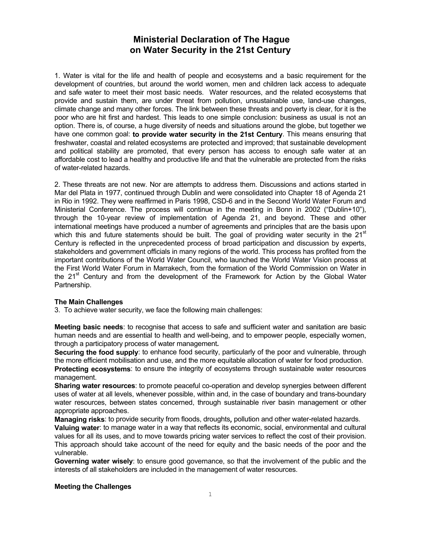## **Ministerial Declaration of The Hague on Water Security in the 21st Century**

1. Water is vital for the life and health of people and ecosystems and a basic requirement for the development of countries, but around the world women, men and children lack access to adequate and safe water to meet their most basic needs. Water resources, and the related ecosystems that provide and sustain them, are under threat from pollution, unsustainable use, land-use changes, climate change and many other forces. The link between these threats and poverty is clear, for it is the poor who are hit first and hardest. This leads to one simple conclusion: business as usual is not an option. There is, of course, a huge diversity of needs and situations around the globe, but together we have one common goal: **to provide water security in the 21st Century**. This means ensuring that freshwater, coastal and related ecosystems are protected and improved; that sustainable development and political stability are promoted, that every person has access to enough safe water at an affordable cost to lead a healthy and productive life and that the vulnerable are protected from the risks of water-related hazards.

2. These threats are not new. Nor are attempts to address them. Discussions and actions started in Mar del Plata in 1977, continued through Dublin and were consolidated into Chapter 18 of Agenda 21 in Rio in 1992. They were reaffirmed in Paris 1998, CSD-6 and in the Second World Water Forum and Ministerial Conference. The process will continue in the meeting in Bonn in 2002 ("Dublin+10"), through the 10-year review of implementation of Agenda 21, and beyond. These and other international meetings have produced a number of agreements and principles that are the basis upon which this and future statements should be built. The goal of providing water security in the  $21<sup>st</sup>$ Century is reflected in the unprecedented process of broad participation and discussion by experts, stakeholders and government officials in many regions of the world. This process has profited from the important contributions of the World Water Council, who launched the World Water Vision process at the First World Water Forum in Marrakech, from the formation of the World Commission on Water in the  $21<sup>st</sup>$  Century and from the development of the Framework for Action by the Global Water Partnership.

## **The Main Challenges**

3. To achieve water security, we face the following main challenges:

**Meeting basic needs**: to recognise that access to safe and sufficient water and sanitation are basic human needs and are essential to health and well-being, and to empower people, especially women, through a participatory process of water management*.* 

**Securing the food supply**: to enhance food security, particularly of the poor and vulnerable*,* through the more efficient mobilisation and use, and the more equitable allocation of water for food production. **Protecting ecosystems**: to ensure the integrity of ecosystems through sustainable water resources management.

**Sharing water resources**: to promote peaceful co-operation and develop synergies between different uses of water at all levels, whenever possible, within and, in the case of boundary and trans-boundary water resources, between states concerned, through sustainable river basin management or other appropriate approaches.

**Managing risks**: to provide security from floods, droughts*,* pollution and other water-related hazards. **Valuing water**: to manage water in a way that reflects its economic, social, environmental and cultural values for all its uses, and to move towards pricing water services to reflect the cost of their provision. This approach should take account of the need for equity and the basic needs of the poor and the vulnerable.

**Governing water wisely**: to ensure good governance, so that the involvement of the public and the interests of all stakeholders are included in the management of water resources.

## **Meeting the Challenges**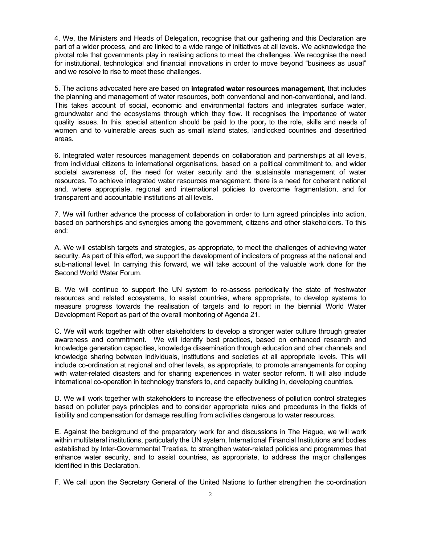4. We, the Ministers and Heads of Delegation, recognise that our gathering and this Declaration are part of a wider process, and are linked to a wide range of initiatives at all levels. We acknowledge the pivotal role that governments play in realising actions to meet the challenges. We recognise the need for institutional, technological and financial innovations in order to move beyond "business as usual" and we resolve to rise to meet these challenges*.*

5. The actions advocated here are based on **integrated water resources management**, that includes the planning and management of water resources, both conventional and non-conventional, and land. This takes account of social, economic and environmental factors and integrates surface water, groundwater and the ecosystems through which they flow. It recognises the importance of water quality issues. In this, special attention should be paid to the poor*,* to the role, skills and needs of women and to vulnerable areas such as small island states, landlocked countries and desertified areas.

6. Integrated water resources management depends on collaboration and partnerships at all levels, from individual citizens to international organisations, based on a political commitment to, and wider societal awareness of, the need for water security and the sustainable management of water resources. To achieve integrated water resources management, there is a need for coherent national and, where appropriate, regional and international policies to overcome fragmentation, and for transparent and accountable institutions at all levels.

7. We will further advance the process of collaboration in order to turn agreed principles into action, based on partnerships and synergies among the government, citizens and other stakeholders. To this end:

A. We will establish targets and strategies, as appropriate, to meet the challenges of achieving water security. As part of this effort, we support the development of indicators of progress at the national and sub-national level. In carrying this forward, we will take account of the valuable work done for the Second World Water Forum.

B. We will continue to support the UN system to re-assess periodically the state of freshwater resources and related ecosystems, to assist countries, where appropriate, to develop systems to measure progress towards the realisation of targets and to report in the biennial World Water Development Report as part of the overall monitoring of Agenda 21.

C. We will work together with other stakeholders to develop a stronger water culture through greater awareness and commitment. We will identify best practices, based on enhanced research and knowledge generation capacities, knowledge dissemination through education and other channels and knowledge sharing between individuals, institutions and societies at all appropriate levels. This will include co-ordination at regional and other levels, as appropriate, to promote arrangements for coping with water-related disasters and for sharing experiences in water sector reform. It will also include international co-operation in technology transfers to, and capacity building in, developing countries.

D. We will work together with stakeholders to increase the effectiveness of pollution control strategies based on polluter pays principles and to consider appropriate rules and procedures in the fields of liability and compensation for damage resulting from activities dangerous to water resources.

E. Against the background of the preparatory work for and discussions in The Hague, we will work within multilateral institutions, particularly the UN system, International Financial Institutions and bodies established by Inter-Governmental Treaties, to strengthen water-related policies and programmes that enhance water security, and to assist countries, as appropriate, to address the major challenges identified in this Declaration.

F. We call upon the Secretary General of the United Nations to further strengthen the co-ordination